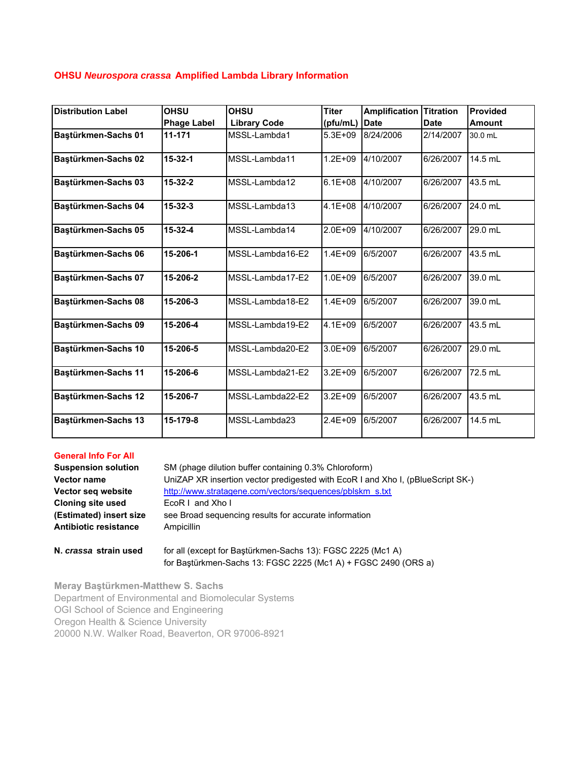## **OHSU** *Neurospora crassa* **Amplified Lambda Library Information**

| <b>Distribution Label</b> | <b>OHSU</b>        | <b>OHSU</b>         | <b>Titer</b> | <b>Amplification</b> | <b>Titration</b> | <b>Provided</b> |
|---------------------------|--------------------|---------------------|--------------|----------------------|------------------|-----------------|
|                           | <b>Phage Label</b> | <b>Library Code</b> | (pfu/mL)     | <b>Date</b>          | <b>Date</b>      | <b>Amount</b>   |
| Baştürkmen-Sachs 01       | 11-171             | MSSL-Lambda1        | 5.3E+09      | 8/24/2006            | 2/14/2007        | 30.0 mL         |
| Bastürkmen-Sachs 02       | $15 - 32 - 1$      | MSSL-Lambda11       | $1.2E + 09$  | 4/10/2007            | 6/26/2007        | 14.5 mL         |
| Bastürkmen-Sachs 03       | $15 - 32 - 2$      | MSSL-Lambda12       | $6.1E + 08$  | 4/10/2007            | 6/26/2007        | 43.5 mL         |
| Baştürkmen-Sachs 04       | $15 - 32 - 3$      | MSSL-Lambda13       | 4.1E+08      | 4/10/2007            | 6/26/2007        | 24.0 mL         |
| Bastürkmen-Sachs 05       | $15 - 32 - 4$      | MSSL-Lambda14       | 2.0E+09      | 4/10/2007            | 6/26/2007        | 29.0 mL         |
| Bastürkmen-Sachs 06       | 15-206-1           | MSSL-Lambda16-E2    | $1.4E + 09$  | 6/5/2007             | 6/26/2007        | 43.5 mL         |
| Bastürkmen-Sachs 07       | 15-206-2           | MSSL-Lambda17-E2    | $1.0E + 09$  | 6/5/2007             | 6/26/2007        | 39.0 mL         |
| Bastürkmen-Sachs 08       | 15-206-3           | MSSL-Lambda18-E2    | $1.4E + 09$  | 6/5/2007             | 6/26/2007        | 39.0 mL         |
| Bastürkmen-Sachs 09       | 15-206-4           | MSSL-Lambda19-E2    | 4.1E+09      | 6/5/2007             | 6/26/2007        | 43.5 mL         |
| Baştürkmen-Sachs 10       | 15-206-5           | MSSL-Lambda20-E2    | $3.0E + 09$  | 6/5/2007             | 6/26/2007        | 29.0 mL         |
| Baştürkmen-Sachs 11       | 15-206-6           | MSSL-Lambda21-E2    | $3.2E + 09$  | 6/5/2007             | 6/26/2007        | 72.5 mL         |
| Bastürkmen-Sachs 12       | 15-206-7           | MSSL-Lambda22-E2    | $3.2E + 09$  | 6/5/2007             | 6/26/2007        | 43.5 mL         |
| Baştürkmen-Sachs 13       | 15-179-8           | MSSL-Lambda23       | 2.4E+09      | 6/5/2007             | 6/26/2007        | 14.5 mL         |

## **General Info For All**

| <b>Suspension solution</b> | SM (phage dilution buffer containing 0.3% Chloroform)                           |  |  |  |  |  |
|----------------------------|---------------------------------------------------------------------------------|--|--|--|--|--|
| <b>Vector name</b>         | UniZAP XR insertion vector predigested with EcoR I and Xho I, (pBlueScript SK-) |  |  |  |  |  |
| Vector seg website         | http://www.stratagene.com/vectors/sequences/pblskm s.txt                        |  |  |  |  |  |
| <b>Cloning site used</b>   | EcoR I and Xho I                                                                |  |  |  |  |  |
| (Estimated) insert size    | see Broad sequencing results for accurate information                           |  |  |  |  |  |
| Antibiotic resistance      | Ampicillin                                                                      |  |  |  |  |  |
|                            |                                                                                 |  |  |  |  |  |

**N.** *crassa* strain used for all (except for Baştürkmen-Sachs 13): FGSC 2225 (Mc1 A) for Baştürkmen-Sachs 13: FGSC 2225 (Mc1 A) + FGSC 2490 (ORS a)

**Meray Baştürkmen-Matthew S. Sachs** Department of Environmental and Biomolecular Systems OGI School of Science and Engineering Oregon Health & Science University 20000 N.W. Walker Road, Beaverton, OR 97006-8921